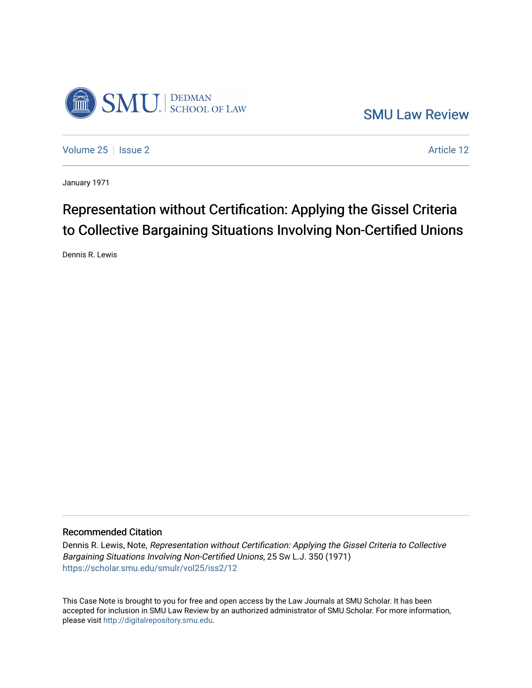

[SMU Law Review](https://scholar.smu.edu/smulr) 

[Volume 25](https://scholar.smu.edu/smulr/vol25) | [Issue 2](https://scholar.smu.edu/smulr/vol25/iss2) Article 12

January 1971

# Representation without Certification: Applying the Gissel Criteria to Collective Bargaining Situations Involving Non-Certified Unions

Dennis R. Lewis

### Recommended Citation

Dennis R. Lewis, Note, Representation without Certification: Applying the Gissel Criteria to Collective Bargaining Situations Involving Non-Certified Unions, 25 SW L.J. 350 (1971) [https://scholar.smu.edu/smulr/vol25/iss2/12](https://scholar.smu.edu/smulr/vol25/iss2/12?utm_source=scholar.smu.edu%2Fsmulr%2Fvol25%2Fiss2%2F12&utm_medium=PDF&utm_campaign=PDFCoverPages)

This Case Note is brought to you for free and open access by the Law Journals at SMU Scholar. It has been accepted for inclusion in SMU Law Review by an authorized administrator of SMU Scholar. For more information, please visit [http://digitalrepository.smu.edu.](http://digitalrepository.smu.edu/)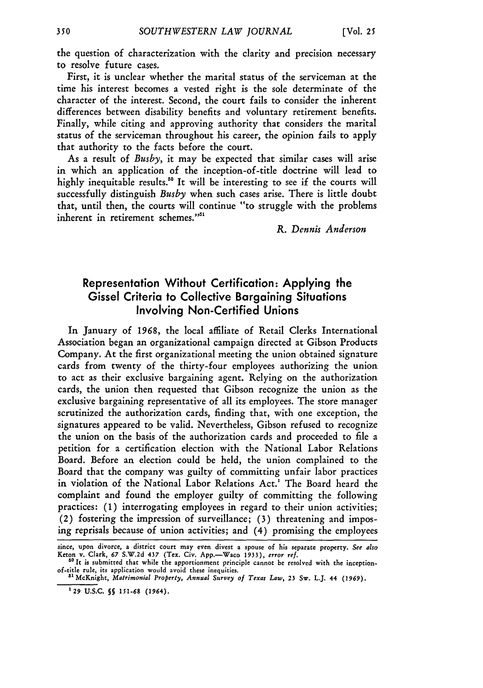the question of characterization with the clarity and precision necessary to resolve future cases.

First, it is unclear whether the marital status of the serviceman at the time his interest becomes a vested right is the sole determinate of the character of the interest. Second, the court fails to consider the inherent differences between disability benefits and voluntary retirement benefits. Finally, while citing and approving authority that considers the marital status of the serviceman throughout his career, the opinion fails to apply that authority to the facts before the court.

As a result of *Busby,* it may be expected that similar cases will arise in which an application of the inception-of-title doctrine will lead to highly inequitable results.<sup>50</sup> It will be interesting to see if the courts will successfully distinguish *Busby* when such cases arise. There is little doubt that, until then, the courts will continue "to struggle with the problems inherent in retirement schemes."<sup>51</sup>

*R. Dennis Anderson*

## Representation Without Certification: Applying the Gissel Criteria to Collective Bargaining Situations Involving Non-Certified Unions

In January of *1968,* the local affiliate of Retail Clerks International Association began an organizational campaign directed at Gibson Products Company. At the first organizational meeting the union obtained signature cards from twenty of the thirty-four employees authorizing the union to act as their exclusive bargaining agent. Relying on the authorization cards, the union then requested that Gibson recognize the union as the exclusive bargaining representative of all its employees. The store manager scrutinized the authorization cards, finding that, with one exception, the signatures appeared to be valid. Nevertheless, Gibson refused to recognize the union on the basis of the authorization cards and proceeded to file a petition for a certification election with the National Labor Relations Board. Before an election could be held, the union complained to the Board that the company was guilty of committing unfair labor practices in violation of the National Labor Relations Act.' The Board heard the complaint and found the employer guilty of committing the following practices: **(1)** interrogating employees in regard to their union activities; (2) fostering the impression of surveillance; (3) threatening and imposing reprisals because of union activities; and (4) promising the employees

since, **upon divorce, a district court may even divest a spouse of his separate property.** *See also* **Keton v. Clark, 67 S.W.2d 437 (Tex. Civ. App.-Waco 1933),** *error ref.*

**<sup>&</sup>quot;It is submitted that while the apportionment principle cannot be resolved with the inceptionof-title rule, its application would avoid these inequities. as** McKnight, *Matrimonial Property,* Annual *Survey of Texas Law,* **23 Sw.** L.J. **44 (1969).**

**<sup>&#</sup>x27;29 U.S.C. 5 151-68 (1964).**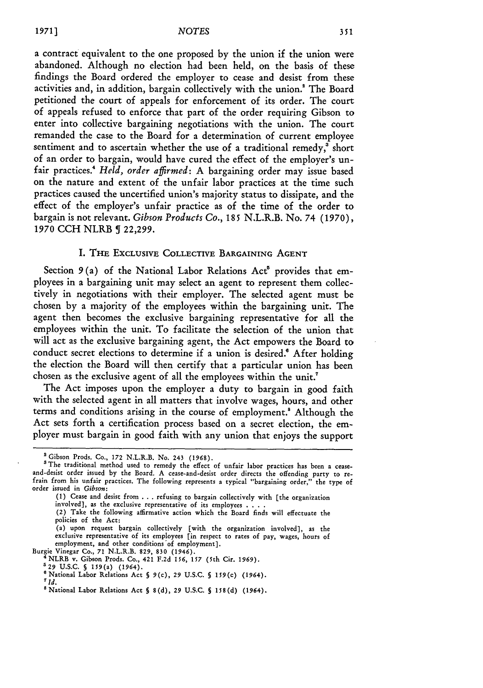a contract equivalent to the one proposed by the union if the union were abandoned. Although no election had been held, on the basis of these findings the Board ordered the employer to cease and desist from these activities and, in addition, bargain collectively with the union.' The Board petitioned the court of appeals for enforcement of its order. The court of appeals refused to enforce that part of the order requiring Gibson to enter into collective bargaining negotiations with the union. The court remanded the case to the Board for a determination of current employee sentiment and to ascertain whether the use of a traditional remedy, $\overline{\text{}}^3$  short of an order to bargain, would have cured the effect of the employer's unfair practices." *Held, order affirmed:* A bargaining order may issue based on the nature and extent of the unfair labor practices at the time such practices caused the uncertified union's majority status to dissipate, and the effect of the employer's unfair practice as of the time of the order to bargain is not relevant. *Gibson Products Co.,* **185** N.L.R.B. No. 74 **(1970), 1970 CCH** NLRB **5** 22,299.

#### I. **THE** ExCLUSIVE **COLLECTIVE** BARGAINING **AGENT**

Section 9(a) of the National Labor Relations Act<sup>6</sup> provides that employees in a bargaining unit may select an agent to represent them collectively in negotiations with their employer. The selected agent must be chosen **by** a majority of the employees within the bargaining unit. The agent then becomes the exclusive bargaining representative for all the employees within the unit. To facilitate the selection of the union that will act as the exclusive bargaining agent, the Act empowers the Board to conduct secret elections to determine if a union is desired." After holding the election the Board will then certify that a particular union has been chosen as the exclusive agent of all the employees within the unit.'

The Act imposes upon the employer a duty to bargain in good faith with the selected agent in all matters that involve wages, hours, and other terms and conditions arising in the course of employment.! Although the Act sets forth a certification process based on a secret election, the employer must bargain in good faith with any union that enjoys the support

<sup>&</sup>lt;sup>2</sup> Gibson Prods. Co., 172 N.L.R.B. No. 243 (1968).<br><sup>3</sup> The traditional method used to remedy the effect of unfair labor practices has been a cease-<br>and-desist order issued by the Board. A cease-and-desist order directs th order issued in *Gibson:*

**<sup>(1)</sup>** Cease and desist from . . . refusing to bargain collectively with [the organization involved], as the exclusive representative of its employees . **...**

<sup>(2)</sup> Take the following affirmative action which the Board finds will effectuate the policies of the Act:

<sup>(</sup>a) upon request bargain collectively [with the organization involved], as the exclusive representative of its employees [in respect to rates of pay, wages, hours of employment, and other conditions of employment].<br>Burgie Vinegar Co., 71 N.L.R.B. 829, 830 (1946).

Burgie Vinegar Co., **71** N.L.R.B. **829, 830 (1946).** <sup>4</sup> NLRB v. Gibson Prods. Co., **421 F.2d 156, 157** (5th Cir. **1969). '29 U.S.C. §** 159(a) (1964).

<sup>&#</sup>x27;National **Labor** Relations Act **§** 9(c), **29 U.S.C.** 5 **159(c) (1964). <sup>7</sup>***Id.*

<sup>&#</sup>x27;National Labor Relations Act **§ 8(d), 29 U.S.C.** 5 **158(d)** (1964).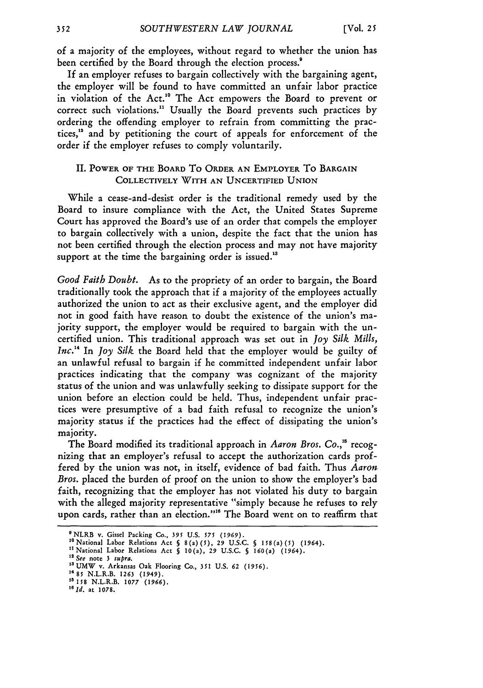of a majority of the employees, without regard to whether the union has been certified by the Board through the election process."

If an employer refuses to bargain collectively with the bargaining agent, the employer will be found to have committed an unfair labor practice in violation of the Act.<sup>10</sup> The Act empowers the Board to prevent or correct such violations." Usually the Board prevents such practices by ordering the offending employer to refrain from committing the practices,<sup>12</sup> and by petitioning the court of appeals for enforcement of the order if the employer refuses to comply voluntarily.

#### II. POWER OF THE BOARD To ORDER AN EMPLOYER To BARGAIN COLLECTIVELY WITH AN UNCERTIFIED UNION

While a cease-and-desist order is the traditional remedy used by the Board to insure compliance with the Act, the United States Supreme Court has approved the Board's use of an order that compels the employer to bargain collectively with a union, despite the fact that the union has not been certified through the election process and may not have majority support at the time the bargaining order is issued.<sup>13</sup>

*Good Faith Doubt.* As to the propriety of an order to bargain, the Board traditionally took the approach that if a majority of the employees actually authorized the union to act as their exclusive agent, and the employer did not in good faith have reason to doubt the existence of the union's majority support, the employer would be required to bargain with the uncertified union. This traditional approach was set out in *Joy Silk- Mills, Inc.*<sup>14</sup> In *Joy Silk* the Board held that the employer would be guilty of an unlawful refusal to bargain if he committed independent unfair labor practices indicating that the company was cognizant of the majority status of the union and was unlawfully seeking to dissipate support for the union before an election could be held. Thus, independent unfair practices were presumptive of a bad faith refusal to recognize the union's majority status if the practices had the effect of dissipating the union's majority.

The Board modified its traditional approach in *Aaron Bros. Co.,"* recognizing that an employer's refusal to accept the authorization cards proffered by the union was not, in itself, evidence of bad faith. Thus *Aaron Bros.* placed the burden of proof on the union to show the employer's bad faith, recognizing that the employer has not violated his duty to bargain with the alleged majority representative "simply because he refuses to rely upon cards, rather than an election."<sup>16</sup> The Board went on to reaffirm that

<sup>9</sup> NLRB v. Gissel Packing Co., **395 U.S.** *575* **(1969).**

**<sup>&</sup>quot;** National Labor Relations Act **§** 8(a) *(5),* 29 U.S.C. **§ 15** 8(a) **(5) (1964).**

<sup>&</sup>quot;National Labor Relations Act **§** 10(a), 29 U.S.C. **§** 160(a) (1964).

*<sup>&</sup>quot; See* note **3** *supra.*

<sup>&</sup>lt;sup>13</sup> UMW v. Arkansas Oak Flooring Co., 351 U.S. 62 (1956).

<sup>&</sup>lt;sup>14</sup> 85 N.L.R.B. 1263 (1949).<br><sup>15</sup> 158 N.L.R.B. 1077 (1966).

**<sup>&#</sup>x27;old.** at **1078.**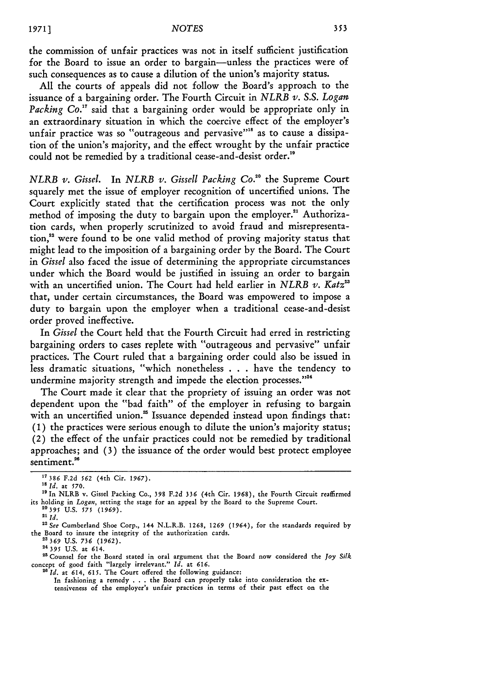the commission of unfair practices was not in itself sufficient justification for the Board to issue an order to bargain-unless the practices were of such consequences as to cause a dilution of the union's majority status.

All the courts of appeals did not follow the Board's approach to the issuance of a bargaining order. The Fourth Circuit in *NLRB v. S.S. Logan* Packing Co.<sup>17</sup> said that a bargaining order would be appropriate only in an extraordinary situation in which the coercive effect of the employer's unfair practice was so "outrageous and pervasive"<sup>18</sup> as to cause a dissipation of the union's majority, and the effect wrought by the unfair practice could not be remedied by a traditional cease-and-desist order."'

*NLRB v. Gissel.* In *NLRB v. Gissell Packing Co.*<sup>20</sup> the Supreme Court squarely met the issue of employer recognition of uncertified unions. The Court explicitly stated that the certification process was not the only method of imposing the duty to bargain upon the employer.<sup>21</sup> Authorization cards, when properly scrutinized to avoid fraud and misrepresentation.<sup>22</sup> were found to be one valid method of proving majority status that might lead to the imposition of a bargaining order by the Board. The Court in *Gissel* also faced the issue of determining the appropriate circumstances under which the Board would be justified in issuing an order to bargain with an uncertified union. The Court had held earlier in *NLRB v. Katz*<sup>23</sup> that, under certain circumstances, the Board was empowered to impose a duty to bargain upon the employer when a traditional cease-and-desist order proved ineffective.

In *Gissel* the Court held that the Fourth Circuit had erred in restricting bargaining orders to cases replete with "outrageous and pervasive" unfair practices. The Court ruled that a bargaining order could also be issued in less dramatic situations, "which nonetheless . . . have the tendency to undermine majority strength and impede the election processes."<sup>24</sup>

The Court made it clear that the propriety of issuing an order was not dependent upon the "bad faith" of the employer in refusing to bargain with an uncertified union.<sup>25</sup> Issuance depended instead upon findings that: (1) the practices were serious enough to dilute the union's majority status; (2) the effect of the unfair practices could not be remedied by traditional approaches; and **(3)** the issuance of the order would best protect employee sentiment.<sup>26</sup>

24 *395* **U.S.** at 614.

**"** Counsel for the Board stated in oral argument that the Board now considered the **Joy** *Silk* concept of good faith "largely irrelevant." *Id.* at *616.* <sup>2</sup>*Id.* at 614, *615.* The Court offered the following guidance:

In fashioning a remedy **. . .**the Board can properly take into consideration the ex**tensiveness** of the employer's unfair practices in terms of their past effect on the

**<sup>17</sup>** *386* F.2d *562* (4th Cir. 1967).

*<sup>1</sup>s Id.* at 570.

<sup>&</sup>lt;sup>19</sup> In NLRB v. Gissel Packing Co., 398 F.2d 336 (4th Cir. 1968), the Fourth Circuit reaffirmed its holding in *Logan,* setting the stage for an appeal by the Board to the Supreme Court. **<sup>20395</sup>**U.S. **575** (1969).

**<sup>21</sup>** *Id.*

<sup>&</sup>lt;sup>22</sup> See Cumberland Shoe Corp., 144 N.L.R.B. 1268, 1269 (1964), for the standards required by the Board to insure the integrity of the authorization cards. **22369 U.S. 736 (1962).**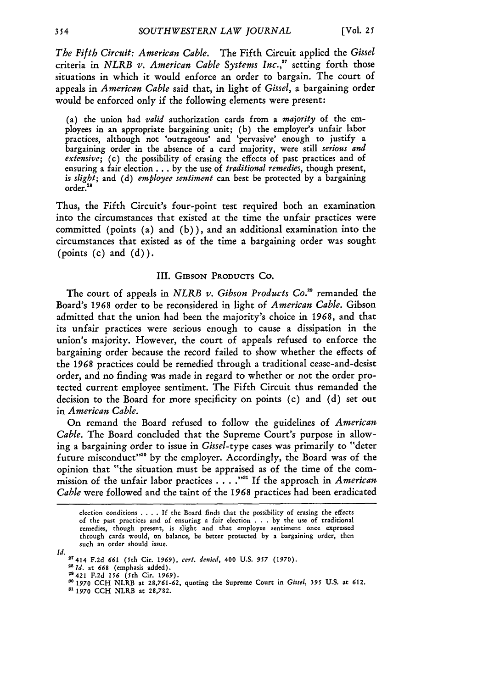*The Fifth Circuit: American Cable.* The Fifth Circuit applied the *Gissel* criteria in *NLRB v. American Cable Systems Inc.,"* setting forth those situations in which it would enforce an order to bargain. The court of appeals in *American Cable* said that, in light of *Gissel,* a bargaining order would be enforced only if the following elements were present:

(a) the union had *valid* authorization cards from a *majority* of the employees in an appropriate bargaining unit; (b) the employer's unfair labor practices, although not 'outrageous' and 'pervasive' enough to justify a bargaining order in the absence of a card majority, were still *serious and extensive;* (c) the possibility of erasing the effects of past practices and of ensuring a fair election **...** by the use of *traditional remedies,* though present, *is slight;* and (d) *employee sentiment* can best be protected by a bargaining  $\mathrm{order.}^{28}$ 

Thus, the Fifth Circuit's four-point test required both an examination into the circumstances that existed at the time the unfair practices were committed (points (a) and (b)), and an additional examination into the circumstances that existed as of the time a bargaining order was sought (points  $(c)$  and  $(d)$ ).

#### III. GIBsoN **PRODUCTS** CO.

The court of appeals in *NLRB v. Gibson Products Co."'* remanded the Board's **1968** order to be reconsidered in light of *American Cable.* Gibson admitted that the union had been the majority's choice in **1968,** and that its unfair practices were serious enough to cause a dissipation in the union's majority. However, the court of appeals refused to enforce the bargaining order because the record failed to show whether the effects of the *1968* practices could be remedied through a traditional cease-and-desist order, and no finding was made in regard to whether or not the order protected current employee sentiment. The Fifth Circuit thus remanded the decision to the Board for more specificity on points (c) and (d) set out in *American Cable.*

On remand the Board refused to follow the guidelines of *American Cable.* The Board concluded that the Supreme Court's purpose in allowing a bargaining order to issue in *Gissel-type* cases was primarily to "deter future misconduct'<sup>30</sup> by the employer. Accordingly, the Board was of the opinion that "the situation must be appraised as of the time of the commission of the unfair labor practices . **.** . *."'* If the approach in *American Cable* were followed and the taint of the 1968 practices had been eradicated

election conditions .... If the Board finds that the possibility of erasing the effects of the past practices and of ensuring a fair election . . . by the use of traditional remedies, though present, is slight and that employee sentiment once expressed through cards would, on balance, be better protected by a bargaining order, then such an order should issue.

*Id.* **17414 F.2d** *661* (5th **Cir. 1969),** *cert. denied,* 400 **U.S.** *957* **(1970).**

*<sup>21</sup> Id.* at **668** (emphasis added).

<sup>29421</sup> **F.2d** *156* (Yth Cir. 1969).

*so* **1970** CCH NLRB at 28,761-62, quoting the Supreme Court in *Gissel, 395* **U.S.** at **612.**

*<sup>&</sup>quot;* **1970 CCH** NLRB at 28,782.